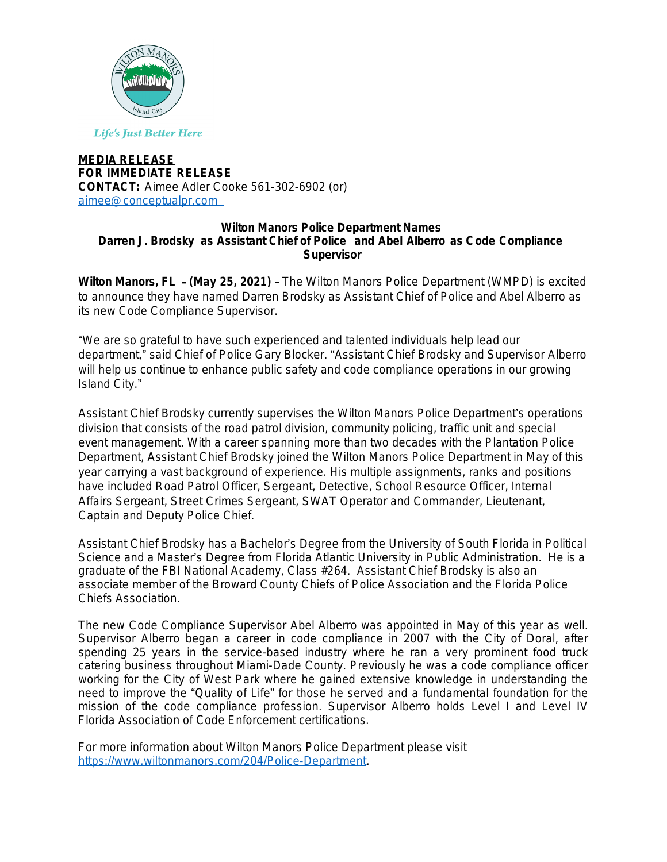

**Life's Just Better Here** 

**MEDIA RELEASE FOR IMMEDIATE RELEASE CONTACT:** Aimee Adler Cooke 561-302-6902 (or) [aimee@conceptualpr.com](mailto:aimee@conceptualpr.com  
) 

## **[Wilton Manors Police Department Names](mailto:aimee@conceptualpr.com  
) [Darren J. Brodsky as Assistant Chief of Police and](mailto:aimee@conceptualpr.com  
) [Abel Alberro as Code Compliance](mailto:aimee@conceptualpr.com  
) [Supervisor](mailto:aimee@conceptualpr.com  
)**

**[Wilton Manors, FL](mailto:aimee@conceptualpr.com  
)** – **([May 25, 2021\)](mailto:aimee@conceptualpr.com  
)** [–](mailto:aimee@conceptualpr.com  
) [The Wilton Manors Police Department \(WMPD\) is excited](mailto:aimee@conceptualpr.com  
) [to announce they have named Darren Brodsky as](mailto:aimee@conceptualpr.com  
) [Assistant Chief of Police and Abel Alberro as](mailto:aimee@conceptualpr.com  
)  [its new Code Compliance Supervisor.](mailto:aimee@conceptualpr.com  
) 

"[We are so grateful to have such experienced and talented individuals help lead our](mailto:aimee@conceptualpr.com  
)  [department,](mailto:aimee@conceptualpr.com  
)" said Chief of Police Gary Blocker. "[Assistant Chief Brodsky and Supervisor Alberro](mailto:aimee@conceptualpr.com  
) [will help us continue to enhance public safety and code compliance operations in our growing](mailto:aimee@conceptualpr.com  
)  [Island City.](mailto:aimee@conceptualpr.com  
)"

[Assistant Chief Brodsky currently supervises the Wilton Manors Police Department](mailto:aimee@conceptualpr.com  
)'s operations [division that consists of the road patrol division, community policing, traffic unit and special](mailto:aimee@conceptualpr.com  
)  [event management. With a career spanning more than two decades with the Plantation Police](mailto:aimee@conceptualpr.com  
)  [Department, Assistant Chief Brodsky joined the Wilton Manors Police Department in May of this](mailto:aimee@conceptualpr.com  
)  [year carrying a vast background of experience. His multiple assignments, ranks and positions](mailto:aimee@conceptualpr.com  
)  [have included Road Patrol Officer, Sergeant, Detective, School Resource Officer, Internal](mailto:aimee@conceptualpr.com  
)  [Affairs Sergeant, Street Crimes Sergeant, SWAT Operator and Commander, Lieutenant,](mailto:aimee@conceptualpr.com  
)  [Captain and Deputy Police Chief.](mailto:aimee@conceptualpr.com  
)

[Assistant Chief Brodsky has a Bachelor](mailto:aimee@conceptualpr.com  
)'s [Degree from the University of South Florida in Political](mailto:aimee@conceptualpr.com  
) [Science and](mailto:aimee@conceptualpr.com  
) a Master'[s Degree from Florida Atlantic University in Public Administration. He is a](mailto:aimee@conceptualpr.com  
) [graduate of the FBI National Academy, Class #264. Assistant Chief Brodsky is also an](mailto:aimee@conceptualpr.com  
)  [associate member of the Broward County Chiefs of Police Association and the Florida Police](mailto:aimee@conceptualpr.com  
)  [Chiefs Association.](mailto:aimee@conceptualpr.com  
) 

The [new](mailto:aimee@conceptualpr.com  
) Code [Compliance](mailto:aimee@conceptualpr.com  
) Supervisor Abel Alberro was [appointed](mailto:aimee@conceptualpr.com  
) in May of this year as well. [Supervisor](mailto:aimee@conceptualpr.com  
) [Alberro](mailto:aimee@conceptualpr.com  
) began a [career](mailto:aimee@conceptualpr.com  
) in [code](mailto:aimee@conceptualpr.com  
) [compliance](mailto:aimee@conceptualpr.com  
) in 2007 with the City of [Doral,](mailto:aimee@conceptualpr.com  
) [after](mailto:aimee@conceptualpr.com  
) [spending](mailto:aimee@conceptualpr.com  
) 25 years in the [service-based](mailto:aimee@conceptualpr.com  
) [industry](mailto:aimee@conceptualpr.com  
) [where](mailto:aimee@conceptualpr.com  
) he [ran](mailto:aimee@conceptualpr.com  
) a very [prominent](mailto:aimee@conceptualpr.com  
) food truck catering [business](mailto:aimee@conceptualpr.com  
) throughout [Miami-Dade](mailto:aimee@conceptualpr.com  
) County[.](mailto:aimee@conceptualpr.com  
) Previously he was a code [compliance](mailto:aimee@conceptualpr.com  
) officer [working](mailto:aimee@conceptualpr.com  
) for the City of West Park where he [gained](mailto:aimee@conceptualpr.com  
) extensive knowledge in [understanding](mailto:aimee@conceptualpr.com  
) the need to [improve](mailto:aimee@conceptualpr.com  
) the "Quality of Life" for those he served [and](mailto:aimee@conceptualpr.com  
) a [fundamental](mailto:aimee@conceptualpr.com  
) foundation for the mission of the code [compliance](mailto:aimee@conceptualpr.com  
) profession. [Supervisor](mailto:aimee@conceptualpr.com  
) Alberro holds Level I and Level IV [Florida Association of Code Enforcement certifications.](mailto:aimee@conceptualpr.com  
)

[For more information about Wilton Manors Police Department please visit](mailto:aimee@conceptualpr.com  
) <https://www.wiltonmanors.com/204/Police-Department>.